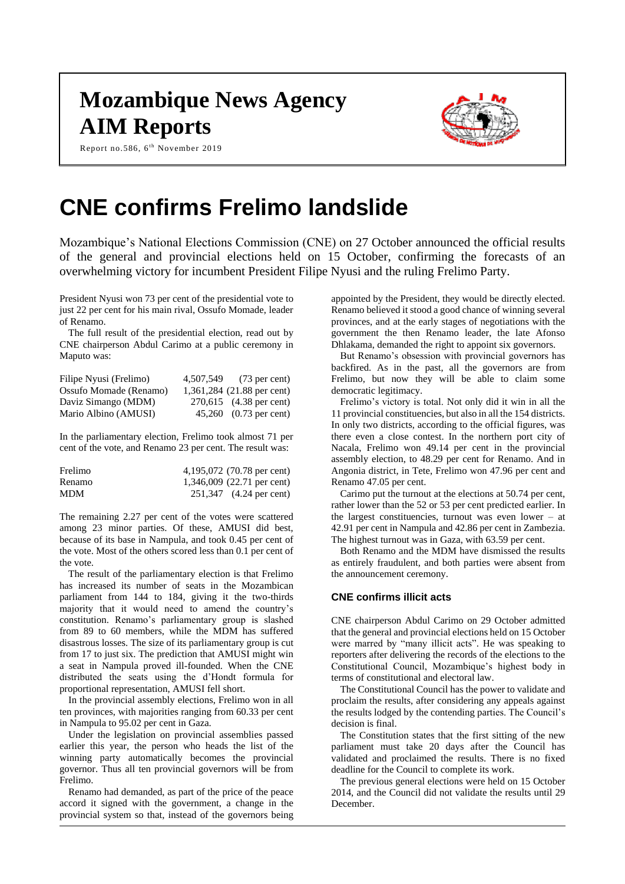# **Mozambique News Agency AIM Reports**

Report no.586, 6<sup>th</sup> November 2019



# **CNE confirms Frelimo landslide**

Mozambique's National Elections Commission (CNE) on 27 October announced the official results of the general and provincial elections held on 15 October, confirming the forecasts of an overwhelming victory for incumbent President Filipe Nyusi and the ruling Frelimo Party.

President Nyusi won 73 per cent of the presidential vote to just 22 per cent for his main rival, Ossufo Momade, leader of Renamo.

The full result of the presidential election, read out by CNE chairperson Abdul Carimo at a public ceremony in Maputo was:

| Filipe Nyusi (Frelimo) | 4,507,549 (73 per cent)    |
|------------------------|----------------------------|
| Ossufo Momade (Renamo) | 1,361,284 (21.88 per cent) |
| Daviz Simango (MDM)    | 270,615 (4.38 per cent)    |
| Mario Albino (AMUSI)   | 45,260 (0.73 per cent)     |

In the parliamentary election, Frelimo took almost 71 per cent of the vote, and Renamo 23 per cent. The result was:

| Frelimo    | 4,195,072 (70.78 per cent) |
|------------|----------------------------|
| Renamo     | 1,346,009 (22.71 per cent) |
| <b>MDM</b> | 251,347 (4.24 per cent)    |

The remaining 2.27 per cent of the votes were scattered among 23 minor parties. Of these, AMUSI did best, because of its base in Nampula, and took 0.45 per cent of the vote. Most of the others scored less than 0.1 per cent of the vote.

The result of the parliamentary election is that Frelimo has increased its number of seats in the Mozambican parliament from 144 to 184, giving it the two-thirds majority that it would need to amend the country's constitution. Renamo's parliamentary group is slashed from 89 to 60 members, while the MDM has suffered disastrous losses. The size of its parliamentary group is cut from 17 to just six. The prediction that AMUSI might win a seat in Nampula proved ill-founded. When the CNE distributed the seats using the d'Hondt formula for proportional representation, AMUSI fell short.

In the provincial assembly elections, Frelimo won in all ten provinces, with majorities ranging from 60.33 per cent in Nampula to 95.02 per cent in Gaza.

Under the legislation on provincial assemblies passed earlier this year, the person who heads the list of the winning party automatically becomes the provincial governor. Thus all ten provincial governors will be from Frelimo.

Renamo had demanded, as part of the price of the peace accord it signed with the government, a change in the provincial system so that, instead of the governors being

appointed by the President, they would be directly elected. Renamo believed it stood a good chance of winning several provinces, and at the early stages of negotiations with the government the then Renamo leader, the late Afonso Dhlakama, demanded the right to appoint six governors.

But Renamo's obsession with provincial governors has backfired. As in the past, all the governors are from Frelimo, but now they will be able to claim some democratic legitimacy.

Frelimo's victory is total. Not only did it win in all the 11 provincial constituencies, but also in all the 154 districts. In only two districts, according to the official figures, was there even a close contest. In the northern port city of Nacala, Frelimo won 49.14 per cent in the provincial assembly election, to 48.29 per cent for Renamo. And in Angonia district, in Tete, Frelimo won 47.96 per cent and Renamo 47.05 per cent.

Carimo put the turnout at the elections at 50.74 per cent, rather lower than the 52 or 53 per cent predicted earlier. In the largest constituencies, turnout was even lower – at 42.91 per cent in Nampula and 42.86 per cent in Zambezia. The highest turnout was in Gaza, with 63.59 per cent.

Both Renamo and the MDM have dismissed the results as entirely fraudulent, and both parties were absent from the announcement ceremony.

# **CNE confirms illicit acts**

CNE chairperson Abdul Carimo on 29 October admitted that the general and provincial elections held on 15 October were marred by "many illicit acts". He was speaking to reporters after delivering the records of the elections to the Constitutional Council, Mozambique's highest body in terms of constitutional and electoral law.

The Constitutional Council has the power to validate and proclaim the results, after considering any appeals against the results lodged by the contending parties. The Council's decision is final.

The Constitution states that the first sitting of the new parliament must take 20 days after the Council has validated and proclaimed the results. There is no fixed deadline for the Council to complete its work.

The previous general elections were held on 15 October 2014, and the Council did not validate the results until 29 December.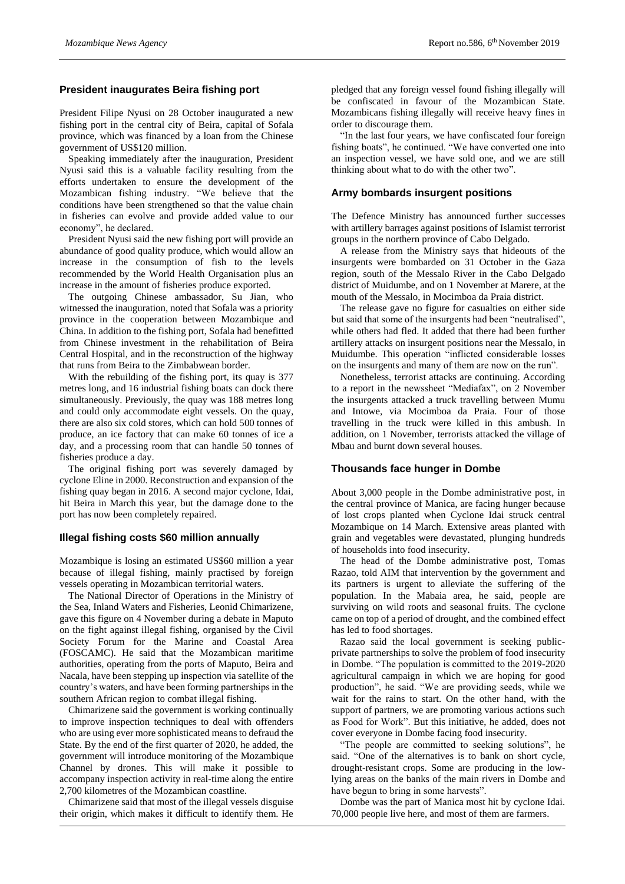#### **President inaugurates Beira fishing port**

President Filipe Nyusi on 28 October inaugurated a new fishing port in the central city of Beira, capital of Sofala province, which was financed by a loan from the Chinese government of US\$120 million.

Speaking immediately after the inauguration, President Nyusi said this is a valuable facility resulting from the efforts undertaken to ensure the development of the Mozambican fishing industry. "We believe that the conditions have been strengthened so that the value chain in fisheries can evolve and provide added value to our economy", he declared.

President Nyusi said the new fishing port will provide an abundance of good quality produce, which would allow an increase in the consumption of fish to the levels recommended by the World Health Organisation plus an increase in the amount of fisheries produce exported.

The outgoing Chinese ambassador, Su Jian, who witnessed the inauguration, noted that Sofala was a priority province in the cooperation between Mozambique and China. In addition to the fishing port, Sofala had benefitted from Chinese investment in the rehabilitation of Beira Central Hospital, and in the reconstruction of the highway that runs from Beira to the Zimbabwean border.

With the rebuilding of the fishing port, its quay is 377 metres long, and 16 industrial fishing boats can dock there simultaneously. Previously, the quay was 188 metres long and could only accommodate eight vessels. On the quay, there are also six cold stores, which can hold 500 tonnes of produce, an ice factory that can make 60 tonnes of ice a day, and a processing room that can handle 50 tonnes of fisheries produce a day.

The original fishing port was severely damaged by cyclone Eline in 2000. Reconstruction and expansion of the fishing quay began in 2016. A second major cyclone, Idai, hit Beira in March this year, but the damage done to the port has now been completely repaired.

#### **Illegal fishing costs \$60 million annually**

Mozambique is losing an estimated US\$60 million a year because of illegal fishing, mainly practised by foreign vessels operating in Mozambican territorial waters.

The National Director of Operations in the Ministry of the Sea, Inland Waters and Fisheries, Leonid Chimarizene, gave this figure on 4 November during a debate in Maputo on the fight against illegal fishing, organised by the Civil Society Forum for the Marine and Coastal Area (FOSCAMC). He said that the Mozambican maritime authorities, operating from the ports of Maputo, Beira and Nacala, have been stepping up inspection via satellite of the country's waters, and have been forming partnerships in the southern African region to combat illegal fishing.

Chimarizene said the government is working continually to improve inspection techniques to deal with offenders who are using ever more sophisticated means to defraud the State. By the end of the first quarter of 2020, he added, the government will introduce monitoring of the Mozambique Channel by drones. This will make it possible to accompany inspection activity in real-time along the entire 2,700 kilometres of the Mozambican coastline.

Chimarizene said that most of the illegal vessels disguise their origin, which makes it difficult to identify them. He

pledged that any foreign vessel found fishing illegally will be confiscated in favour of the Mozambican State. Mozambicans fishing illegally will receive heavy fines in order to discourage them.

"In the last four years, we have confiscated four foreign fishing boats", he continued. "We have converted one into an inspection vessel, we have sold one, and we are still thinking about what to do with the other two".

#### **Army bombards insurgent positions**

The Defence Ministry has announced further successes with artillery barrages against positions of Islamist terrorist groups in the northern province of Cabo Delgado.

A release from the Ministry says that hideouts of the insurgents were bombarded on 31 October in the Gaza region, south of the Messalo River in the Cabo Delgado district of Muidumbe, and on 1 November at Marere, at the mouth of the Messalo, in Mocimboa da Praia district.

The release gave no figure for casualties on either side but said that some of the insurgents had been "neutralised", while others had fled. It added that there had been further artillery attacks on insurgent positions near the Messalo, in Muidumbe. This operation "inflicted considerable losses on the insurgents and many of them are now on the run".

Nonetheless, terrorist attacks are continuing. According to a report in the newssheet "Mediafax", on 2 November the insurgents attacked a truck travelling between Mumu and Intowe, via Mocimboa da Praia. Four of those travelling in the truck were killed in this ambush. In addition, on 1 November, terrorists attacked the village of Mbau and burnt down several houses.

### **Thousands face hunger in Dombe**

About 3,000 people in the Dombe administrative post, in the central province of Manica, are facing hunger because of lost crops planted when Cyclone Idai struck central Mozambique on 14 March. Extensive areas planted with grain and vegetables were devastated, plunging hundreds of households into food insecurity.

The head of the Dombe administrative post, Tomas Razao, told AIM that intervention by the government and its partners is urgent to alleviate the suffering of the population. In the Mabaia area, he said, people are surviving on wild roots and seasonal fruits. The cyclone came on top of a period of drought, and the combined effect has led to food shortages.

Razao said the local government is seeking publicprivate partnerships to solve the problem of food insecurity in Dombe. "The population is committed to the 2019-2020 agricultural campaign in which we are hoping for good production", he said. "We are providing seeds, while we wait for the rains to start. On the other hand, with the support of partners, we are promoting various actions such as Food for Work". But this initiative, he added, does not cover everyone in Dombe facing food insecurity.

"The people are committed to seeking solutions", he said. "One of the alternatives is to bank on short cycle, drought-resistant crops. Some are producing in the lowlying areas on the banks of the main rivers in Dombe and have begun to bring in some harvests".

Dombe was the part of Manica most hit by cyclone Idai. 70,000 people live here, and most of them are farmers.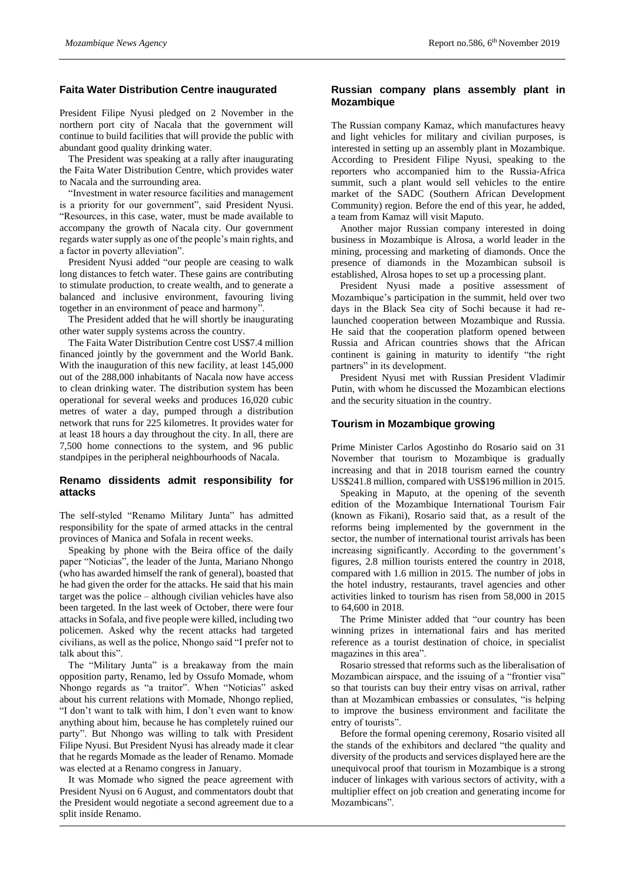#### **Faita Water Distribution Centre inaugurated**

President Filipe Nyusi pledged on 2 November in the northern port city of Nacala that the government will continue to build facilities that will provide the public with abundant good quality drinking water.

The President was speaking at a rally after inaugurating the Faita Water Distribution Centre, which provides water to Nacala and the surrounding area.

"Investment in water resource facilities and management is a priority for our government", said President Nyusi. "Resources, in this case, water, must be made available to accompany the growth of Nacala city. Our government regards water supply as one of the people's main rights, and a factor in poverty alleviation".

President Nyusi added "our people are ceasing to walk long distances to fetch water. These gains are contributing to stimulate production, to create wealth, and to generate a balanced and inclusive environment, favouring living together in an environment of peace and harmony".

The President added that he will shortly be inaugurating other water supply systems across the country.

The Faita Water Distribution Centre cost US\$7.4 million financed jointly by the government and the World Bank. With the inauguration of this new facility, at least 145,000 out of the 288,000 inhabitants of Nacala now have access to clean drinking water. The distribution system has been operational for several weeks and produces 16,020 cubic metres of water a day, pumped through a distribution network that runs for 225 kilometres. It provides water for at least 18 hours a day throughout the city. In all, there are 7,500 home connections to the system, and 96 public standpipes in the peripheral neighbourhoods of Nacala.

# **Renamo dissidents admit responsibility for attacks**

The self-styled "Renamo Military Junta" has admitted responsibility for the spate of armed attacks in the central provinces of Manica and Sofala in recent weeks.

Speaking by phone with the Beira office of the daily paper "Noticias", the leader of the Junta, Mariano Nhongo (who has awarded himself the rank of general), boasted that he had given the order for the attacks. He said that his main target was the police – although civilian vehicles have also been targeted. In the last week of October, there were four attacksin Sofala, and five people were killed, including two policemen. Asked why the recent attacks had targeted civilians, as well as the police, Nhongo said "I prefer not to talk about this".

The "Military Junta" is a breakaway from the main opposition party, Renamo, led by Ossufo Momade, whom Nhongo regards as "a traitor". When "Noticias" asked about his current relations with Momade, Nhongo replied, "I don't want to talk with him, I don't even want to know anything about him, because he has completely ruined our party". But Nhongo was willing to talk with President Filipe Nyusi. But President Nyusi has already made it clear that he regards Momade as the leader of Renamo. Momade was elected at a Renamo congress in January.

It was Momade who signed the peace agreement with President Nyusi on 6 August, and commentators doubt that the President would negotiate a second agreement due to a split inside Renamo.

### **Russian company plans assembly plant in Mozambique**

The Russian company Kamaz, which manufactures heavy and light vehicles for military and civilian purposes, is interested in setting up an assembly plant in Mozambique. According to President Filipe Nyusi, speaking to the reporters who accompanied him to the Russia-Africa summit, such a plant would sell vehicles to the entire market of the SADC (Southern African Development Community) region. Before the end of this year, he added, a team from Kamaz will visit Maputo.

Another major Russian company interested in doing business in Mozambique is Alrosa, a world leader in the mining, processing and marketing of diamonds. Once the presence of diamonds in the Mozambican subsoil is established, Alrosa hopes to set up a processing plant.

President Nyusi made a positive assessment of Mozambique's participation in the summit, held over two days in the Black Sea city of Sochi because it had relaunched cooperation between Mozambique and Russia. He said that the cooperation platform opened between Russia and African countries shows that the African continent is gaining in maturity to identify "the right partners" in its development.

President Nyusi met with Russian President Vladimir Putin, with whom he discussed the Mozambican elections and the security situation in the country.

#### **Tourism in Mozambique growing**

Prime Minister Carlos Agostinho do Rosario said on 31 November that tourism to Mozambique is gradually increasing and that in 2018 tourism earned the country US\$241.8 million, compared with US\$196 million in 2015.

Speaking in Maputo, at the opening of the seventh edition of the Mozambique International Tourism Fair (known as Fikani), Rosario said that, as a result of the reforms being implemented by the government in the sector, the number of international tourist arrivals has been increasing significantly. According to the government's figures, 2.8 million tourists entered the country in 2018, compared with 1.6 million in 2015. The number of jobs in the hotel industry, restaurants, travel agencies and other activities linked to tourism has risen from 58,000 in 2015 to 64,600 in 2018.

The Prime Minister added that "our country has been winning prizes in international fairs and has merited reference as a tourist destination of choice, in specialist magazines in this area".

Rosario stressed that reforms such as the liberalisation of Mozambican airspace, and the issuing of a "frontier visa" so that tourists can buy their entry visas on arrival, rather than at Mozambican embassies or consulates, "is helping to improve the business environment and facilitate the entry of tourists".

Before the formal opening ceremony, Rosario visited all the stands of the exhibitors and declared "the quality and diversity of the products and services displayed here are the unequivocal proof that tourism in Mozambique is a strong inducer of linkages with various sectors of activity, with a multiplier effect on job creation and generating income for Mozambicans".